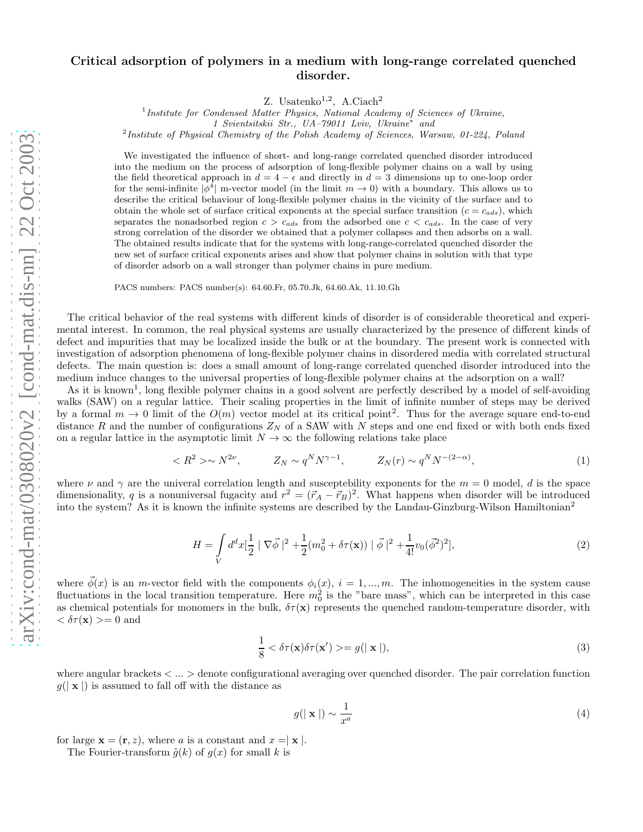## Critical adsorption of polymers in a medium with long-range correlated quenched disorder.

Z. Usatenko<sup>1,2</sup>, A.Ciach<sup>2</sup>

<sup>1</sup> Institute for Condensed Matter Physics, National Academy of Sciences of Ukraine,

1 Svientsitskii Str., UA–79011 Lviv, Ukraine<sup>∗</sup> and

<sup>2</sup>Institute of Physical Chemistry of the Polish Academy of Sciences, Warsaw, 01-224, Poland

We investigated the influence of short- and long-range correlated quenched disorder introduced into the medium on the process of adsorption of long-flexible polymer chains on a wall by using the field theoretical approach in  $d = 4 - \epsilon$  and directly in  $d = 3$  dimensions up to one-loop order for the semi-infinite  $|\dot{\phi}^4|$  m-vector model (in the limit  $m \to 0$ ) with a boundary. This allows us to describe the critical behaviour of long-flexible polymer chains in the vicinity of the surface and to obtain the whole set of surface critical exponents at the special surface transition  $(c = c_{ads})$ , which separates the nonadsorbed region  $c > c_{ads}$  from the adsorbed one  $c < c_{ads}$ . In the case of very strong correlation of the disorder we obtained that a polymer collapses and then adsorbs on a wall. The obtained results indicate that for the systems with long-range-correlated quenched disorder the new set of surface critical exponents arises and show that polymer chains in solution with that type of disorder adsorb on a wall stronger than polymer chains in pure medium.

PACS numbers: PACS number(s): 64.60.Fr, 05.70.Jk, 64.60.Ak, 11.10.Gh

The critical behavior of the real systems with different kinds of disorder is of considerable theoretical and experimental interest. In common, the real physical systems are usually characterized by the presence of different kinds of defect and impurities that may be localized inside the bulk or at the boundary. The present work is connected with investigation of adsorption phenomena of long-flexible polymer chains in disordered media with correlated structural defects. The main question is: does a small amount of long-range correlated quenched disorder introduced into the medium induce changes to the universal properties of long-flexible polymer chains at the adsorption on a wall?

As it is known<sup>1</sup>, long flexible polymer chains in a good solvent are perfectly described by a model of self-avoiding walks (SAW) on a regular lattice. Their scaling properties in the limit of infinite number of steps may be derived by a formal  $m \to 0$  limit of the  $O(m)$  vector model at its critical point<sup>2</sup>. Thus for the average square end-to-end distance R and the number of configurations  $Z_N$  of a SAW with N steps and one end fixed or with both ends fixed on a regular lattice in the asymptotic limit  $N \to \infty$  the following relations take place

$$
\langle R^2 \rangle \sim N^{2\nu}, \qquad Z_N \sim q^N N^{\gamma - 1}, \qquad Z_N(r) \sim q^N N^{-(2 - \alpha)}, \tag{1}
$$

where  $\nu$  and  $\gamma$  are the univeral correlation length and susceptebility exponents for the  $m = 0$  model, d is the space dimensionality, q is a nonuniversal fugacity and  $r^2 = (\vec{r}_A - \vec{r}_B)^2$ . What happens when disorder will be introduced into the system? As it is known the infinite systems are described by the Landau-Ginzburg-Wilson Hamiltonian<sup>2</sup>

$$
H = \int\limits_V d^d x \left[\frac{1}{2} \mid \nabla \vec{\phi}\,\right]^2 + \frac{1}{2} (m_0^2 + \delta \tau(\mathbf{x})) \mid \vec{\phi}\,\mid^2 + \frac{1}{4!} v_0 (\vec{\phi}^2)^2],\tag{2}
$$

where  $\vec{\phi}(x)$  is an m-vector field with the components  $\phi_i(x)$ ,  $i = 1, ..., m$ . The inhomogeneities in the system cause fluctuations in the local transition temperature. Here  $m_0^2$  is the "bare mass", which can be interpreted in this case as chemical potentials for monomers in the bulk,  $\delta\tau(\mathbf{x})$  represents the quenched random-temperature disorder, with  $<\delta\tau(\mathbf{x})>=0$  and

$$
\frac{1}{8} < \delta\tau(\mathbf{x})\delta\tau(\mathbf{x}') > = g(|\mathbf{x}|),\tag{3}
$$

where angular brackets < ... > denote configurational averaging over quenched disorder. The pair correlation function  $g(|\mathbf{x}|)$  is assumed to fall off with the distance as

$$
g(|\mathbf{x}|) \sim \frac{1}{x^a} \tag{4}
$$

for large  $\mathbf{x} = (\mathbf{r}, z)$ , where a is a constant and  $x = |\mathbf{x}|$ .

The Fourier-transform  $\tilde{q}(k)$  of  $q(x)$  for small k is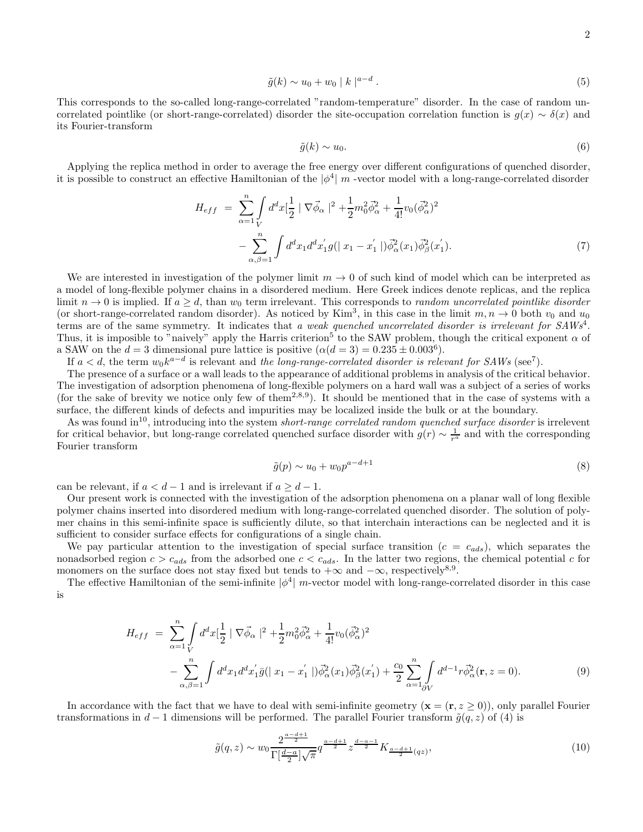$$
\tilde{g}(k) \sim u_0 + w_0 \mid k \mid^{a-d}.
$$
\n
$$
(5)
$$

This corresponds to the so-called long-range-correlated "random-temperature" disorder. In the case of random uncorrelated pointlike (or short-range-correlated) disorder the site-occupation correlation function is  $g(x) \sim \delta(x)$  and its Fourier-transform

$$
\tilde{g}(k) \sim u_0. \tag{6}
$$

Applying the replica method in order to average the free energy over different configurations of quenched disorder, it is possible to construct an effective Hamiltonian of the  $|\phi^4|$  m -vector model with a long-range-correlated disorder

$$
H_{eff} = \sum_{\alpha=1}^{n} \int_{V} d^{d}x \left[\frac{1}{2} \mid \nabla \vec{\phi}_{\alpha} \mid^{2} + \frac{1}{2} m_{0}^{2} \vec{\phi}_{\alpha}^{2} + \frac{1}{4!} v_{0} (\vec{\phi}_{\alpha}^{2})^{2} - \sum_{\alpha, \beta=1}^{n} \int d^{d}x_{1} d^{d}x_{1}^{'}g(|x_{1} - x_{1}^{'}|) \vec{\phi}_{\alpha}^{2}(x_{1}) \vec{\phi}_{\beta}^{2}(x_{1}^{'}).
$$
\n
$$
(7)
$$

We are interested in investigation of the polymer limit  $m \to 0$  of such kind of model which can be interpreted as a model of long-flexible polymer chains in a disordered medium. Here Greek indices denote replicas, and the replica limit  $n \to 0$  is implied. If  $a > d$ , than  $w_0$  term irrelevant. This corresponds to *random uncorrelated pointlike disorder* (or short-range-correlated random disorder). As noticed by Kim<sup>3</sup>, in this case in the limit  $m, n \to 0$  both  $v_0$  and  $u_0$ terms are of the same symmetry. It indicates that a weak quenched uncorrelated disorder is irrelevant for SAWs<sup>4</sup>. Thus, it is imposible to "naively" apply the Harris criterion<sup>5</sup> to the SAW problem, though the critical exponent  $\alpha$  of a SAW on the  $d = 3$  dimensional pure lattice is positive  $(\alpha(d = 3) = 0.235 \pm 0.003^6)$ .

If  $a < d$ , the term  $w_0 k^{a-d}$  is relevant and the long-range-correlated disorder is relevant for SAWs (see<sup>7</sup>).

The presence of a surface or a wall leads to the appearance of additional problems in analysis of the critical behavior. The investigation of adsorption phenomena of long-flexible polymers on a hard wall was a subject of a series of works (for the sake of brevity we notice only few of them<sup>2,8,9</sup>). It should be mentioned that in the case of systems with a surface, the different kinds of defects and impurities may be localized inside the bulk or at the boundary.

As was found  $\mathrm{in}^{10}$ , introducing into the system *short-range correlated random quenched surface disorder* is irrelevent for critical behavior, but long-range correlated quenched surface disorder with  $g(r) \sim \frac{1}{r^a}$  and with the corresponding Fourier transform

$$
\tilde{g}(p) \sim u_0 + w_0 p^{a-d+1} \tag{8}
$$

can be relevant, if  $a < d-1$  and is irrelevant if  $a \geq d-1$ .

Our present work is connected with the investigation of the adsorption phenomena on a planar wall of long flexible polymer chains inserted into disordered medium with long-range-correlated quenched disorder. The solution of polymer chains in this semi-infinite space is sufficiently dilute, so that interchain interactions can be neglected and it is sufficient to consider surface effects for configurations of a single chain.

We pay particular attention to the investigation of special surface transition  $(c = c_{ads})$ , which separates the nonadsorbed region  $c > c_{ads}$  from the adsorbed one  $c < c_{ads}$ . In the latter two regions, the chemical potential c for monomers on the surface does not stay fixed but tends to  $+\infty$  and  $-\infty$ , respectively<sup>8,9</sup>.

The effective Hamiltonian of the semi-infinite  $|\phi^4|$  m-vector model with long-range-correlated disorder in this case is

$$
H_{eff} = \sum_{\alpha=1}^{n} \int d^{d}x \left[\frac{1}{2} \mid \nabla \vec{\phi}_{\alpha} \mid^{2} + \frac{1}{2} m_{0}^{2} \vec{\phi}_{\alpha}^{2} + \frac{1}{4!} v_{0} (\vec{\phi}_{\alpha}^{2})^{2} - \sum_{\alpha,\beta=1}^{n} \int d^{d}x_{1} d^{d}x_{1}^{'} \bar{g}(\mid x_{1} - x_{1}^{'} \mid) \vec{\phi}_{\alpha}^{2}(x_{1}) \vec{\phi}_{\beta}^{2}(x_{1}^{'} ) + \frac{c_{0}}{2} \sum_{\alpha=1}^{n} \int d^{d-1}r \vec{\phi}_{\alpha}^{2}(\mathbf{r}, z = 0). \tag{9}
$$

In accordance with the fact that we have to deal with semi-infinite geometry  $(x = (r, z \ge 0))$ , only parallel Fourier transformations in  $d-1$  dimensions will be performed. The parallel Fourier transform  $\tilde{g}(q, z)$  of (4) is

$$
\tilde{g}(q,z) \sim w_0 \frac{2^{\frac{a-d+1}{2}}}{\Gamma[\frac{d-a}{2}]\sqrt{\pi}} q^{\frac{a-d+1}{2}} z^{\frac{d-a-1}{2}} K_{\frac{a-d+1}{2}(qz)},\tag{10}
$$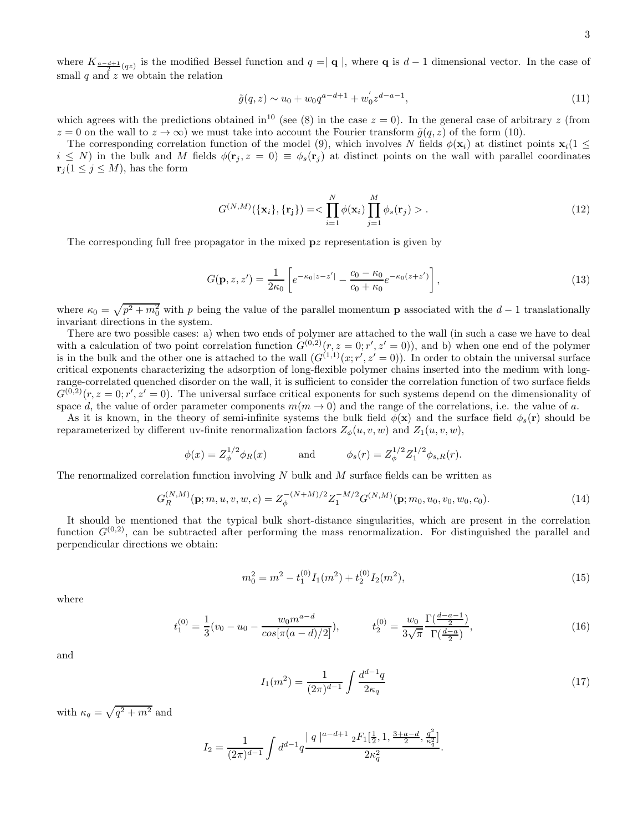where  $K_{\frac{a-d+1}{2}(qz)}$  is the modified Bessel function and  $q = |q|$ , where q is  $d-1$  dimensional vector. In the case of small  $q$  and  $z$  we obtain the relation

$$
\tilde{g}(q, z) \sim u_0 + w_0 q^{a-d+1} + w'_0 z^{d-a-1},\tag{11}
$$

which agrees with the predictions obtained in<sup>10</sup> (see (8) in the case  $z = 0$ ). In the general case of arbitrary z (from  $z = 0$  on the wall to  $z \to \infty$ ) we must take into account the Fourier transform  $\tilde{g}(q, z)$  of the form (10).

The corresponding correlation function of the model (9), which involves N fields  $\phi(\mathbf{x}_i)$  at distinct points  $\mathbf{x}_i(1 \leq$  $i \leq N$ ) in the bulk and M fields  $\phi(\mathbf{r}_i, z = 0) \equiv \phi_s(\mathbf{r}_i)$  at distinct points on the wall with parallel coordinates  $\mathbf{r}_j (1 \leq j \leq M)$ , has the form

$$
G^{(N,M)}(\{\mathbf{x}_i\}, {\{\mathbf{r}_j\}}) = < \prod_{i=1}^N \phi(\mathbf{x}_i) \prod_{j=1}^M \phi_s(\mathbf{r}_j) > .
$$
\n(12)

The corresponding full free propagator in the mixed pz representation is given by

$$
G(\mathbf{p}, z, z') = \frac{1}{2\kappa_0} \left[ e^{-\kappa_0 |z - z'|} - \frac{c_0 - \kappa_0}{c_0 + \kappa_0} e^{-\kappa_0 (z + z')} \right],
$$
\n(13)

where  $\kappa_0 = \sqrt{p^2 + m_0^2}$  with p being the value of the parallel momentum **p** associated with the  $d-1$  translationally invariant directions in the system.

There are two possible cases: a) when two ends of polymer are attached to the wall (in such a case we have to deal with a calculation of two point correlation function  $G^{(0,2)}(r, z = 0; r', z' = 0)$ , and b) when one end of the polymer is in the bulk and the other one is attached to the wall  $(G^{(1,1)}(x; r', z'=0))$ . In order to obtain the universal surface critical exponents characterizing the adsorption of long-flexible polymer chains inserted into the medium with longrange-correlated quenched disorder on the wall, it is sufficient to consider the correlation function of two surface fields  $G^{(0,2)}(r, z = 0; r', z' = 0)$ . The universal surface critical exponents for such systems depend on the dimensionality of space d, the value of order parameter components  $m(m \to 0)$  and the range of the correlations, i.e. the value of a.

As it is known, in the theory of semi-infinite systems the bulk field  $\phi(\mathbf{x})$  and the surface field  $\phi_s(\mathbf{r})$  should be reparameterized by different uv-finite renormalization factors  $Z_{\phi}(u, v, w)$  and  $Z_1(u, v, w)$ ,

$$
\phi(x) = Z_{\phi}^{1/2} \phi_R(x)
$$
 and  $\phi_s(r) = Z_{\phi}^{1/2} Z_1^{1/2} \phi_{s,R}(r).$ 

The renormalized correlation function involving  $N$  bulk and  $M$  surface fields can be written as

$$
G_R^{(N,M)}(\mathbf{p};m,u,v,w,c) = Z_{\phi}^{-(N+M)/2} Z_1^{-M/2} G^{(N,M)}(\mathbf{p};m_0,u_0,v_0,w_0,c_0).
$$
(14)

It should be mentioned that the typical bulk short-distance singularities, which are present in the correlation function  $G^{(0,2)}$ , can be subtracted after performing the mass renormalization. For distinguished the parallel and perpendicular directions we obtain:

$$
m_0^2 = m^2 - t_1^{(0)} I_1(m^2) + t_2^{(0)} I_2(m^2),
$$
\n(15)

where

$$
t_1^{(0)} = \frac{1}{3}(v_0 - u_0 - \frac{w_0 m^{a-d}}{\cos[\pi(a-d)/2]}), \qquad t_2^{(0)} = \frac{w_0}{3\sqrt{\pi}} \frac{\Gamma(\frac{d-a-1}{2})}{\Gamma(\frac{d-a}{2})},\tag{16}
$$

and

$$
I_1(m^2) = \frac{1}{(2\pi)^{d-1}} \int \frac{d^{d-1}q}{2\kappa_q} \tag{17}
$$

.

with  $\kappa_q = \sqrt{q^2 + m^2}$  and

$$
I_2 = \frac{1}{(2\pi)^{d-1}} \int d^{d-1}q \frac{|q|^{a-d+1} \, {}_2F_1[\frac{1}{2},1,\frac{3+a-d}{2},\frac{q^2}{\kappa_q^2}]}{2\kappa_q^2}
$$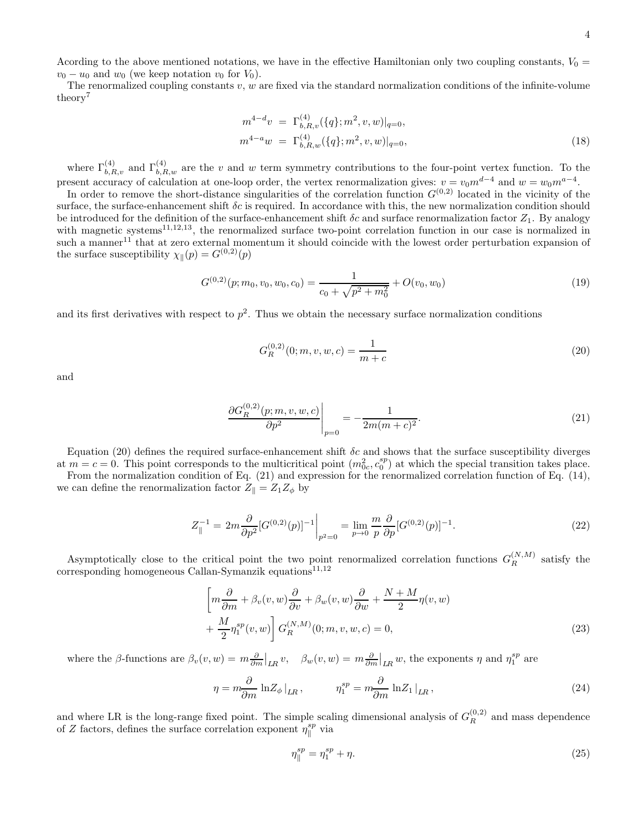Acording to the above mentioned notations, we have in the effective Hamiltonian only two coupling constants,  $V_0 =$  $v_0 - u_0$  and  $w_0$  (we keep notation  $v_0$  for  $V_0$ ).

The renormalized coupling constants  $v, w$  are fixed via the standard normalization conditions of the infinite-volume theory<sup>7</sup>

$$
m^{4-d}v = \Gamma_{b,R,v}^{(4)}(\{q\};m^2,v,w)|_{q=0},
$$
  

$$
m^{4-a}w = \Gamma_{b,R,w}^{(4)}(\{q\};m^2,v,w)|_{q=0},
$$
 (18)

where  $\Gamma_{b,R,v}^{(4)}$  and  $\Gamma_{b,R,w}^{(4)}$  are the v and w term symmetry contributions to the four-point vertex function. To the present accuracy of calculation at one-loop order, the vertex renormalization gives:  $v = v_0 m^{d-4}$  and  $w = w_0 m^{a-4}$ .

In order to remove the short-distance singularities of the correlation function  $G^{(0,2)}$  located in the vicinity of the surface, the surface-enhancement shift  $\delta c$  is required. In accordance with this, the new normalization condition should be introduced for the definition of the surface-enhancement shift  $\delta c$  and surface renormalization factor  $Z_1$ . By analogy with magnetic systems<sup>11,12,13</sup>, the renormalized surface two-point correlation function in our case is normalized in such a manner<sup>11</sup> that at zero external momentum it should coincide with the lowest order perturbation expansion of the surface susceptibility  $\chi_{\parallel}(p) = G^{(0,2)}(p)$ 

$$
G^{(0,2)}(p; m_0, v_0, w_0, c_0) = \frac{1}{c_0 + \sqrt{p^2 + m_0^2}} + O(v_0, w_0)
$$
\n(19)

and its first derivatives with respect to  $p^2$ . Thus we obtain the necessary surface normalization conditions

$$
G_R^{(0,2)}(0; m, v, w, c) = \frac{1}{m+c}
$$
\n(20)

and

$$
\left. \frac{\partial G_R^{(0,2)}(p;m,v,w,c)}{\partial p^2} \right|_{p=0} = -\frac{1}{2m(m+c)^2}.
$$
\n(21)

Equation (20) defines the required surface-enhancement shift  $\delta c$  and shows that the surface susceptibility diverges at  $m = c = 0$ . This point corresponds to the multicritical point  $(m_{0c}^2, c_0^{sp})$  at which the special transition takes place.

From the normalization condition of Eq. (21) and expression for the renormalized correlation function of Eq. (14), we can define the renormalization factor  $Z_{\parallel} = Z_1 Z_{\phi}$  by

$$
Z_{\parallel}^{-1} = 2m \frac{\partial}{\partial p^2} [G^{(0,2)}(p)]^{-1} \Big|_{p^2=0} = \lim_{p \to 0} \frac{m}{p} \frac{\partial}{\partial p} [G^{(0,2)}(p)]^{-1}.
$$
 (22)

Asymptotically close to the critical point the two point renormalized correlation functions  $G_R^{(N,M)}$  $R^{(N,M)}$  satisfy the corresponding homogeneous Callan-Symanzik equations<sup>11,12</sup>

$$
\left[m\frac{\partial}{\partial m} + \beta_v(v, w)\frac{\partial}{\partial v} + \beta_w(v, w)\frac{\partial}{\partial w} + \frac{N + M}{2}\eta(v, w) + \frac{M}{2}\eta_1^{sp}(v, w)\right]G_R^{(N, M)}(0; m, v, w, c) = 0,
$$
\n(23)

where the  $\beta$ -functions are  $\beta_v(v, w) = m \frac{\partial}{\partial m} \Big|_{LR} v$ ,  $\beta_w(v, w) = m \frac{\partial}{\partial m} \Big|_{LR} w$ , the exponents  $\eta$  and  $\eta_1^{sp}$  are

$$
\eta = m \frac{\partial}{\partial m} \ln Z_{\phi}|_{LR}, \qquad \eta_1^{sp} = m \frac{\partial}{\partial m} \ln Z_1|_{LR}, \qquad (24)
$$

and where LR is the long-range fixed point. The simple scaling dimensional analysis of  $G_R^{(0,2)}$  $\mathbb{R}^{(0,2)}$  and mass dependence of Z factors, defines the surface correlation exponent  $\eta_{\parallel}^{sp}$  $\int_{\parallel}^{sp}$  via

$$
\eta_{\parallel}^{sp} = \eta_1^{sp} + \eta. \tag{25}
$$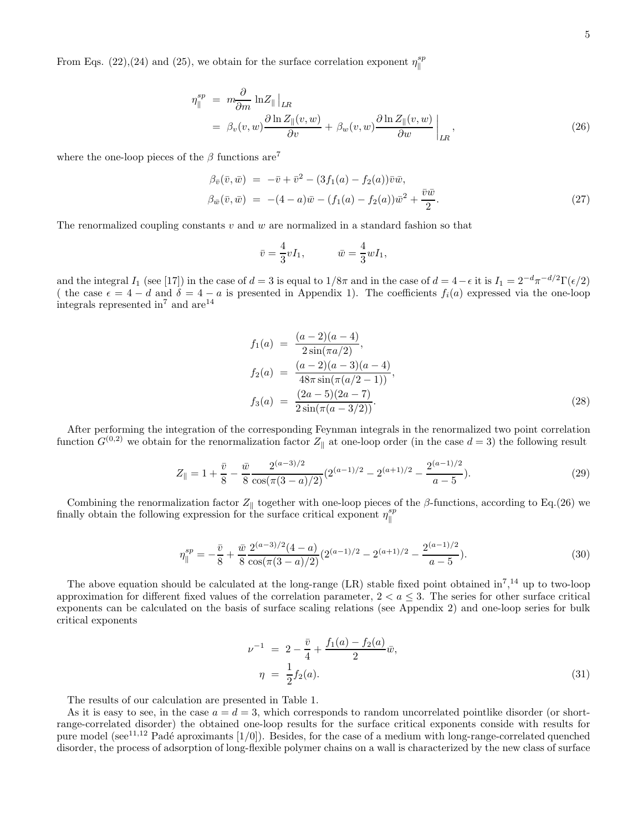From Eqs. (22),(24) and (25), we obtain for the surface correlation exponent  $\eta_{\parallel}^{sp}$ 

$$
\eta_{\parallel}^{sp} = m \frac{\partial}{\partial m} \ln Z_{\parallel} \Big|_{LR}
$$
  
=  $\beta_v(v, w) \frac{\partial \ln Z_{\parallel}(v, w)}{\partial v} + \beta_w(v, w) \frac{\partial \ln Z_{\parallel}(v, w)}{\partial w} \Big|_{LR},$  (26)

where the one-loop pieces of the  $\beta$  functions are<sup>7</sup>

$$
\beta_{\bar{v}}(\bar{v}, \bar{w}) = -\bar{v} + \bar{v}^2 - (3f_1(a) - f_2(a))\bar{v}\bar{w}, \n\beta_{\bar{w}}(\bar{v}, \bar{w}) = -(4 - a)\bar{w} - (f_1(a) - f_2(a))\bar{w}^2 + \frac{\bar{v}\bar{w}}{2}.
$$
\n(27)

The renormalized coupling constants v and w are normalized in a standard fashion so that

$$
\bar{v} = \frac{4}{3}vI_1, \qquad \quad \bar{w} = \frac{4}{3}wI_1,
$$

and the integral  $I_1$  (see [17]) in the case of  $d = 3$  is equal to  $1/8\pi$  and in the case of  $d = 4 - \epsilon$  it is  $I_1 = 2^{-d}\pi^{-d/2}\Gamma(\epsilon/2)$ ( the case  $\epsilon = 4 - d$  and  $\delta = 4 - a$  is presented in Appendix 1). The coefficients  $f_i(a)$  expressed via the one-loop integrals represented  $\rm in^7$  and  $\rm are^{14}$ 

$$
f_1(a) = \frac{(a-2)(a-4)}{2\sin(\pi a/2)},
$$
  
\n
$$
f_2(a) = \frac{(a-2)(a-3)(a-4)}{48\pi \sin(\pi(a/2-1))},
$$
  
\n
$$
f_3(a) = \frac{(2a-5)(2a-7)}{2\sin(\pi(a-3/2))}.
$$
\n(28)

After performing the integration of the corresponding Feynman integrals in the renormalized two point correlation function  $G^{(0,2)}$  we obtain for the renormalization factor  $Z_{\parallel}$  at one-loop order (in the case  $d=3$ ) the following result

$$
Z_{\parallel} = 1 + \frac{\bar{v}}{8} - \frac{\bar{w}}{8} \frac{2^{(a-3)/2}}{\cos(\pi(3-a)/2)} (2^{(a-1)/2} - 2^{(a+1)/2} - \frac{2^{(a-1)/2}}{a-5}). \tag{29}
$$

Combining the renormalization factor  $Z_{\parallel}$  together with one-loop pieces of the β-functions, according to Eq.(26) we finally obtain the following expression for the surface critical exponent  $\eta_{\parallel}^{sp}$ 

$$
\eta_{\parallel}^{sp} = -\frac{\bar{v}}{8} + \frac{\bar{w}}{8} \frac{2^{(a-3)/2} (4-a)}{\cos(\pi (3-a)/2)} (2^{(a-1)/2} - 2^{(a+1)/2} - \frac{2^{(a-1)/2}}{a-5}). \tag{30}
$$

The above equation should be calculated at the long-range  $(LR)$  stable fixed point obtained in<sup>7</sup>,<sup>14</sup> up to two-loop approximation for different fixed values of the correlation parameter,  $2 < a < 3$ . The series for other surface critical exponents can be calculated on the basis of surface scaling relations (see Appendix 2) and one-loop series for bulk critical exponents

$$
\nu^{-1} = 2 - \frac{\bar{v}}{4} + \frac{f_1(a) - f_2(a)}{2} \bar{w},
$$
  
\n
$$
\eta = \frac{1}{2} f_2(a).
$$
\n(31)

The results of our calculation are presented in Table 1.

As it is easy to see, in the case  $a = d = 3$ , which corresponds to random uncorrelated pointlike disorder (or shortrange-correlated disorder) the obtained one-loop results for the surface critical exponents conside with results for pure model (see<sup>11,12</sup> Padé aproximants  $[1/0]$ ). Besides, for the case of a medium with long-range-correlated quenched disorder, the process of adsorption of long-flexible polymer chains on a wall is characterized by the new class of surface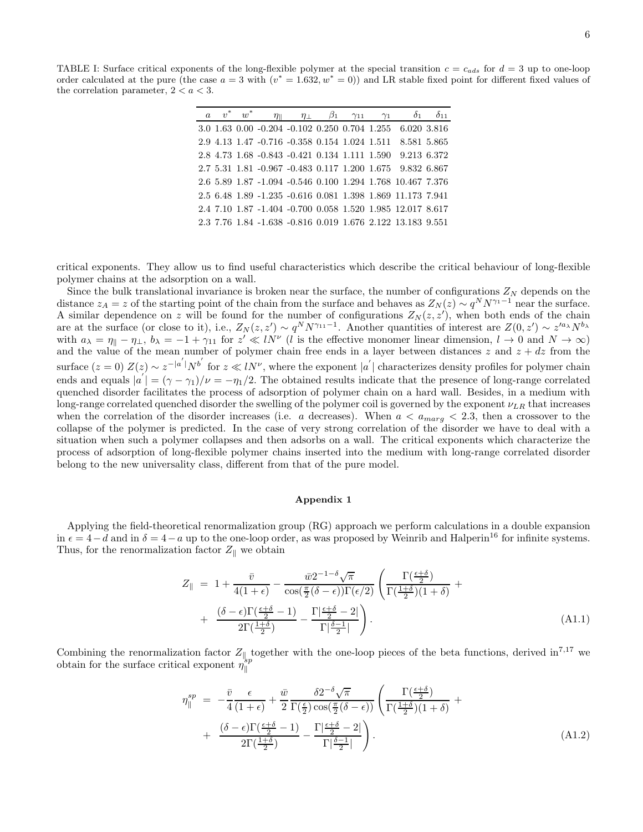TABLE I: Surface critical exponents of the long-flexible polymer at the special transition  $c = c_{ads}$  for  $d = 3$  up to one-loop order calculated at the pure (the case  $a = 3$  with  $(v^* = 1.632, w^* = 0)$ ) and LR stable fixed point for different fixed values of the correlation parameter,  $2 < a < 3$ .

| $\alpha$ | $v^*$ | $w^*$ | $\eta_{\parallel}$ |                                               | $\eta_{\perp}$ $\beta_1$ $\gamma_{11}$ $\gamma_1$ |  | $\delta_1$                                                 | $\delta_{11}$ |
|----------|-------|-------|--------------------|-----------------------------------------------|---------------------------------------------------|--|------------------------------------------------------------|---------------|
|          |       |       |                    |                                               |                                                   |  | 3.0 1.63 0.00 -0.204 -0.102 0.250 0.704 1.255 6.020 3.816  |               |
|          |       |       |                    | 2.9 4.13 1.47 -0.716 -0.358 0.154 1.024 1.511 |                                                   |  | 8.581 5.865                                                |               |
|          |       |       |                    |                                               |                                                   |  | 2.8 4.73 1.68 -0.843 -0.421 0.134 1.111 1.590 9.213 6.372  |               |
|          |       |       |                    |                                               |                                                   |  | 2.7 5.31 1.81 -0.967 -0.483 0.117 1.200 1.675 9.832 6.867  |               |
|          |       |       |                    |                                               |                                                   |  | 2.6 5.89 1.87 -1.094 -0.546 0.100 1.294 1.768 10.467 7.376 |               |
|          |       |       |                    |                                               |                                                   |  | 2.5 6.48 1.89 -1.235 -0.616 0.081 1.398 1.869 11.173 7.941 |               |
|          |       |       |                    |                                               |                                                   |  | 2.4 7.10 1.87 -1.404 -0.700 0.058 1.520 1.985 12.017 8.617 |               |
|          |       |       |                    |                                               |                                                   |  | 2.3 7.76 1.84 -1.638 -0.816 0.019 1.676 2.122 13.183 9.551 |               |

critical exponents. They allow us to find useful characteristics which describe the critical behaviour of long-flexible polymer chains at the adsorption on a wall.

Since the bulk translational invariance is broken near the surface, the number of configurations  $Z_N$  depends on the distance  $z_A = z$  of the starting point of the chain from the surface and behaves as  $Z_N(z) \sim q^N N^{\gamma_1-1}$  near the surface. A similar dependence on z will be found for the number of configurations  $Z_N(z, z')$ , when both ends of the chain are at the surface (or close to it), i.e.,  $Z_N(z, z') \sim q^N N^{\gamma_{11}-1}$ . Another quantities of interest are  $Z(0, z') \sim z'^{a_\lambda} N^{b_\lambda}$ with  $a_{\lambda} = \eta_{\parallel} - \eta_{\perp}$ ,  $b_{\lambda} = -1 + \gamma_{11}$  for  $z' \ll lN'$  (l is the effective monomer linear dimension,  $l \to 0$  and  $N \to \infty$ ) and the value of the mean number of polymer chain free ends in a layer between distances z and  $z + dz$  from the surface  $(z = 0) Z(z) \sim z^{-|a'|} N^{b'}$  for  $z \ll lN^{\nu}$ , where the exponent  $|a'|$  characterizes density profiles for polymer chain ends and equals  $|a| = (\gamma - \gamma_1)/\nu = -\eta_1/2$ . The obtained results indicate that the presence of long-range correlated quenched disorder facilitates the process of adsorption of polymer chain on a hard wall. Besides, in a medium with long-range correlated quenched disorder the swelling of the polymer coil is governed by the exponent  $\nu_{LR}$  that increases when the correlation of the disorder increases (i.e. a decreases). When  $a < a_{marg} < 2.3$ , then a crossover to the collapse of the polymer is predicted. In the case of very strong correlation of the disorder we have to deal with a situation when such a polymer collapses and then adsorbs on a wall. The critical exponents which characterize the process of adsorption of long-flexible polymer chains inserted into the medium with long-range correlated disorder belong to the new universality class, different from that of the pure model.

## Appendix 1

Applying the field-theoretical renormalization group (RG) approach we perform calculations in a double expansion in  $\epsilon = 4-d$  and in  $\delta = 4-a$  up to the one-loop order, as was proposed by Weinrib and Halperin<sup>16</sup> for infinite systems. Thus, for the renormalization factor  $Z_{\parallel}$  we obtain

$$
Z_{\parallel} = 1 + \frac{\bar{v}}{4(1+\epsilon)} - \frac{\bar{w}2^{-1-\delta}\sqrt{\pi}}{\cos(\frac{\pi}{2}(\delta-\epsilon))\Gamma(\epsilon/2)} \left(\frac{\Gamma(\frac{\epsilon+\delta}{2})}{\Gamma(\frac{1+\delta}{2})(1+\delta)} + \frac{(\delta-\epsilon)\Gamma(\frac{\epsilon+\delta}{2}-1)}{2\Gamma(\frac{1+\delta}{2})} - \frac{\Gamma|\frac{\epsilon+\delta}{2}-2|}{\Gamma|\frac{\delta-1}{2}|}\right).
$$
\n(A1.1)

Combining the renormalization factor  $Z_{\parallel}$  together with the one-loop pieces of the beta functions, derived in<sup>7,17</sup> we obtain for the surface critical exponent  $\eta_{\parallel}^{\text{sp}}$ k

$$
\eta_{\parallel}^{sp} = -\frac{\bar{v}}{4} \frac{\epsilon}{(1+\epsilon)} + \frac{\bar{w}}{2} \frac{\delta 2^{-\delta} \sqrt{\pi}}{\Gamma(\frac{\epsilon}{2}) \cos(\frac{\pi}{2}(\delta-\epsilon))} \left( \frac{\Gamma(\frac{\epsilon+\delta}{2})}{\Gamma(\frac{1+\delta}{2})(1+\delta)} + \frac{(\delta-\epsilon)\Gamma(\frac{\epsilon+\delta}{2}-1)}{2\Gamma(\frac{1+\delta}{2})} - \frac{\Gamma(\frac{\epsilon+\delta}{2}-2)}{\Gamma(\frac{\delta-1}{2})} \right).
$$
\n(A1.2)